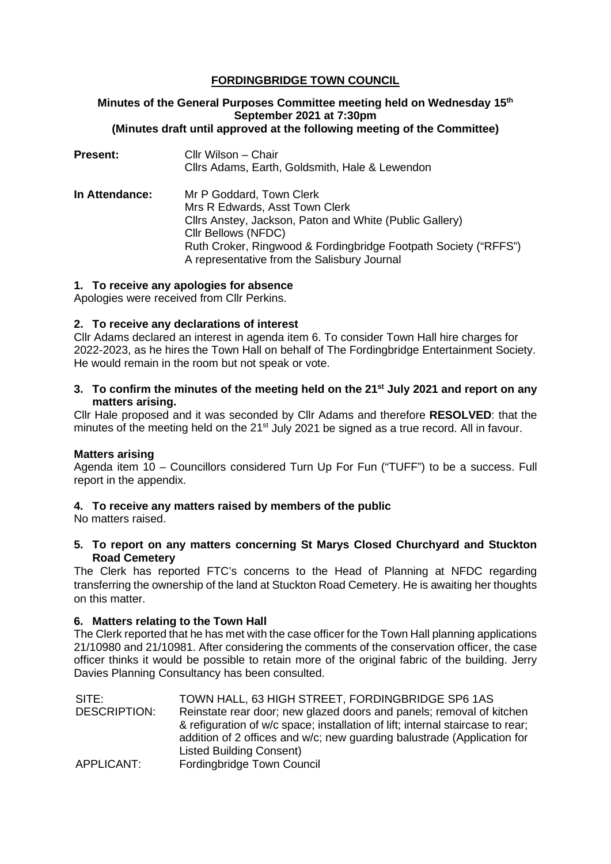# **FORDINGBRIDGE TOWN COUNCIL**

# **Minutes of the General Purposes Committee meeting held on Wednesday 15th September 2021 at 7:30pm (Minutes draft until approved at the following meeting of the Committee)**

**Present:** Cllr Wilson – Chair Cllrs Adams, Earth, Goldsmith, Hale & Lewendon **In Attendance:** Mr P Goddard, Town Clerk Mrs R Edwards, Asst Town Clerk Cllrs Anstey, Jackson, Paton and White (Public Gallery) Cllr Bellows (NFDC) Ruth Croker, Ringwood & Fordingbridge Footpath Society ("RFFS") A representative from the Salisbury Journal

## **1. To receive any apologies for absence**

Apologies were received from Cllr Perkins.

## **2. To receive any declarations of interest**

Cllr Adams declared an interest in agenda item 6. To consider Town Hall hire charges for 2022-2023, as he hires the Town Hall on behalf of The Fordingbridge Entertainment Society. He would remain in the room but not speak or vote.

## **3. To confirm the minutes of the meeting held on the 21st July 2021 and report on any matters arising.**

Cllr Hale proposed and it was seconded by Cllr Adams and therefore **RESOLVED**: that the minutes of the meeting held on the 21<sup>st</sup> July 2021 be signed as a true record. All in favour.

# **Matters arising**

Agenda item 10 – Councillors considered Turn Up For Fun ("TUFF") to be a success. Full report in the appendix.

# **4. To receive any matters raised by members of the public**

No matters raised.

## **5. To report on any matters concerning St Marys Closed Churchyard and Stuckton Road Cemetery**

The Clerk has reported FTC's concerns to the Head of Planning at NFDC regarding transferring the ownership of the land at Stuckton Road Cemetery. He is awaiting her thoughts on this matter.

# **6. Matters relating to the Town Hall**

The Clerk reported that he has met with the case officer for the Town Hall planning applications 21/10980 and 21/10981. After considering the comments of the conservation officer, the case officer thinks it would be possible to retain more of the original fabric of the building. Jerry Davies Planning Consultancy has been consulted.

| TOWN HALL, 63 HIGH STREET, FORDINGBRIDGE SP6 1AS                               |
|--------------------------------------------------------------------------------|
| Reinstate rear door; new glazed doors and panels; removal of kitchen           |
| & refiguration of w/c space; installation of lift; internal staircase to rear; |
| addition of 2 offices and w/c; new guarding balustrade (Application for        |
| Listed Building Consent)                                                       |
| Fordingbridge Town Council                                                     |
|                                                                                |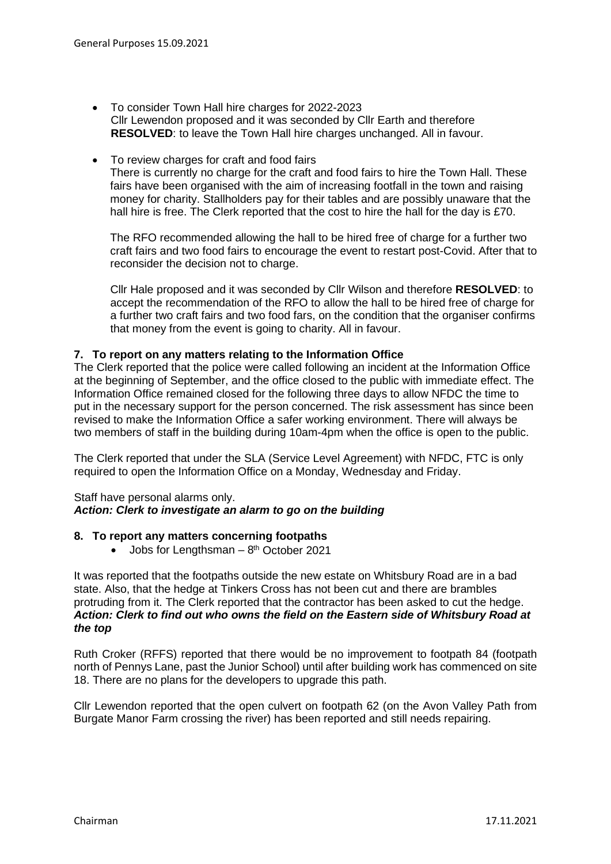- To consider Town Hall hire charges for 2022-2023 Cllr Lewendon proposed and it was seconded by Cllr Earth and therefore **RESOLVED:** to leave the Town Hall hire charges unchanged. All in favour.
- To review charges for craft and food fairs There is currently no charge for the craft and food fairs to hire the Town Hall. These fairs have been organised with the aim of increasing footfall in the town and raising money for charity. Stallholders pay for their tables and are possibly unaware that the hall hire is free. The Clerk reported that the cost to hire the hall for the day is £70.

The RFO recommended allowing the hall to be hired free of charge for a further two craft fairs and two food fairs to encourage the event to restart post-Covid. After that to reconsider the decision not to charge.

Cllr Hale proposed and it was seconded by Cllr Wilson and therefore **RESOLVED**: to accept the recommendation of the RFO to allow the hall to be hired free of charge for a further two craft fairs and two food fars, on the condition that the organiser confirms that money from the event is going to charity. All in favour.

# **7. To report on any matters relating to the Information Office**

The Clerk reported that the police were called following an incident at the Information Office at the beginning of September, and the office closed to the public with immediate effect. The Information Office remained closed for the following three days to allow NFDC the time to put in the necessary support for the person concerned. The risk assessment has since been revised to make the Information Office a safer working environment. There will always be two members of staff in the building during 10am-4pm when the office is open to the public.

The Clerk reported that under the SLA (Service Level Agreement) with NFDC, FTC is only required to open the Information Office on a Monday, Wednesday and Friday.

#### Staff have personal alarms only. *Action: Clerk to investigate an alarm to go on the building*

#### **8. To report any matters concerning footpaths**

Jobs for Lengthsman  $-8$ <sup>th</sup> October 2021

It was reported that the footpaths outside the new estate on Whitsbury Road are in a bad state. Also, that the hedge at Tinkers Cross has not been cut and there are brambles protruding from it. The Clerk reported that the contractor has been asked to cut the hedge. *Action: Clerk to find out who owns the field on the Eastern side of Whitsbury Road at the top*

Ruth Croker (RFFS) reported that there would be no improvement to footpath 84 (footpath north of Pennys Lane, past the Junior School) until after building work has commenced on site 18. There are no plans for the developers to upgrade this path.

Cllr Lewendon reported that the open culvert on footpath 62 (on the Avon Valley Path from Burgate Manor Farm crossing the river) has been reported and still needs repairing.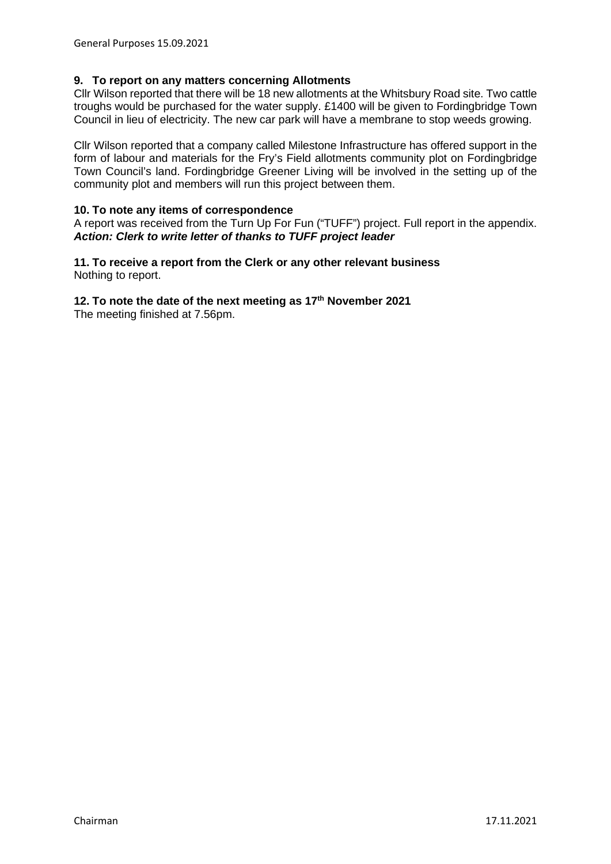## **9. To report on any matters concerning Allotments**

Cllr Wilson reported that there will be 18 new allotments at the Whitsbury Road site. Two cattle troughs would be purchased for the water supply. £1400 will be given to Fordingbridge Town Council in lieu of electricity. The new car park will have a membrane to stop weeds growing.

Cllr Wilson reported that a company called Milestone Infrastructure has offered support in the form of labour and materials for the Fry's Field allotments community plot on Fordingbridge Town Council's land. Fordingbridge Greener Living will be involved in the setting up of the community plot and members will run this project between them.

### **10. To note any items of correspondence**

A report was received from the Turn Up For Fun ("TUFF") project. Full report in the appendix. *Action: Clerk to write letter of thanks to TUFF project leader*

#### **11. To receive a report from the Clerk or any other relevant business** Nothing to report.

# **12. To note the date of the next meeting as 17th November 2021**

The meeting finished at 7.56pm.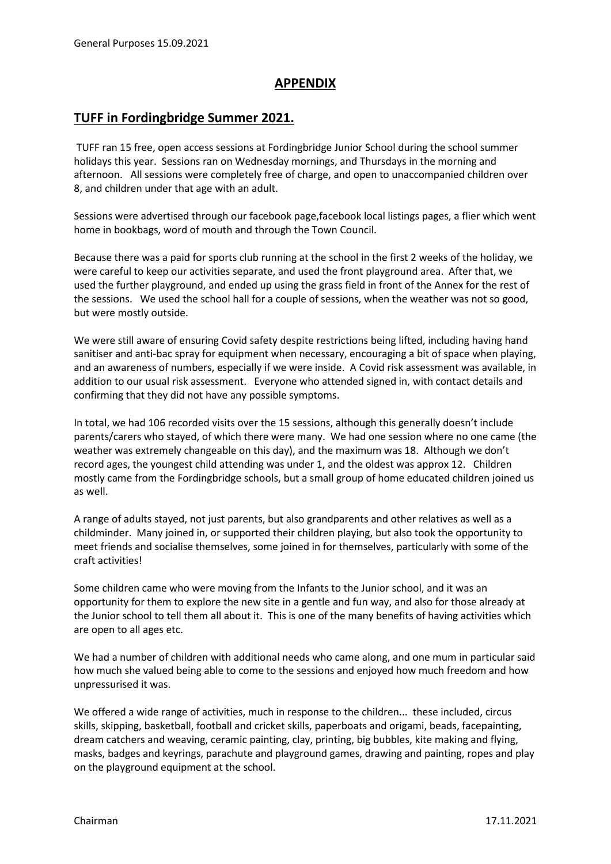# **APPENDIX**

# **TUFF in Fordingbridge Summer 2021.**

TUFF ran 15 free, open access sessions at Fordingbridge Junior School during the school summer holidays this year. Sessions ran on Wednesday mornings, and Thursdays in the morning and afternoon. All sessions were completely free of charge, and open to unaccompanied children over 8, and children under that age with an adult.

Sessions were advertised through our facebook page,facebook local listings pages, a flier which went home in bookbags, word of mouth and through the Town Council.

Because there was a paid for sports club running at the school in the first 2 weeks of the holiday, we were careful to keep our activities separate, and used the front playground area. After that, we used the further playground, and ended up using the grass field in front of the Annex for the rest of the sessions. We used the school hall for a couple of sessions, when the weather was not so good, but were mostly outside.

We were still aware of ensuring Covid safety despite restrictions being lifted, including having hand sanitiser and anti-bac spray for equipment when necessary, encouraging a bit of space when playing, and an awareness of numbers, especially if we were inside. A Covid risk assessment was available, in addition to our usual risk assessment. Everyone who attended signed in, with contact details and confirming that they did not have any possible symptoms.

In total, we had 106 recorded visits over the 15 sessions, although this generally doesn't include parents/carers who stayed, of which there were many. We had one session where no one came (the weather was extremely changeable on this day), and the maximum was 18. Although we don't record ages, the youngest child attending was under 1, and the oldest was approx 12. Children mostly came from the Fordingbridge schools, but a small group of home educated children joined us as well.

A range of adults stayed, not just parents, but also grandparents and other relatives as well as a childminder. Many joined in, or supported their children playing, but also took the opportunity to meet friends and socialise themselves, some joined in for themselves, particularly with some of the craft activities!

Some children came who were moving from the Infants to the Junior school, and it was an opportunity for them to explore the new site in a gentle and fun way, and also for those already at the Junior school to tell them all about it. This is one of the many benefits of having activities which are open to all ages etc.

We had a number of children with additional needs who came along, and one mum in particular said how much she valued being able to come to the sessions and enjoyed how much freedom and how unpressurised it was.

We offered a wide range of activities, much in response to the children... these included, circus skills, skipping, basketball, football and cricket skills, paperboats and origami, beads, facepainting, dream catchers and weaving, ceramic painting, clay, printing, big bubbles, kite making and flying, masks, badges and keyrings, parachute and playground games, drawing and painting, ropes and play on the playground equipment at the school.